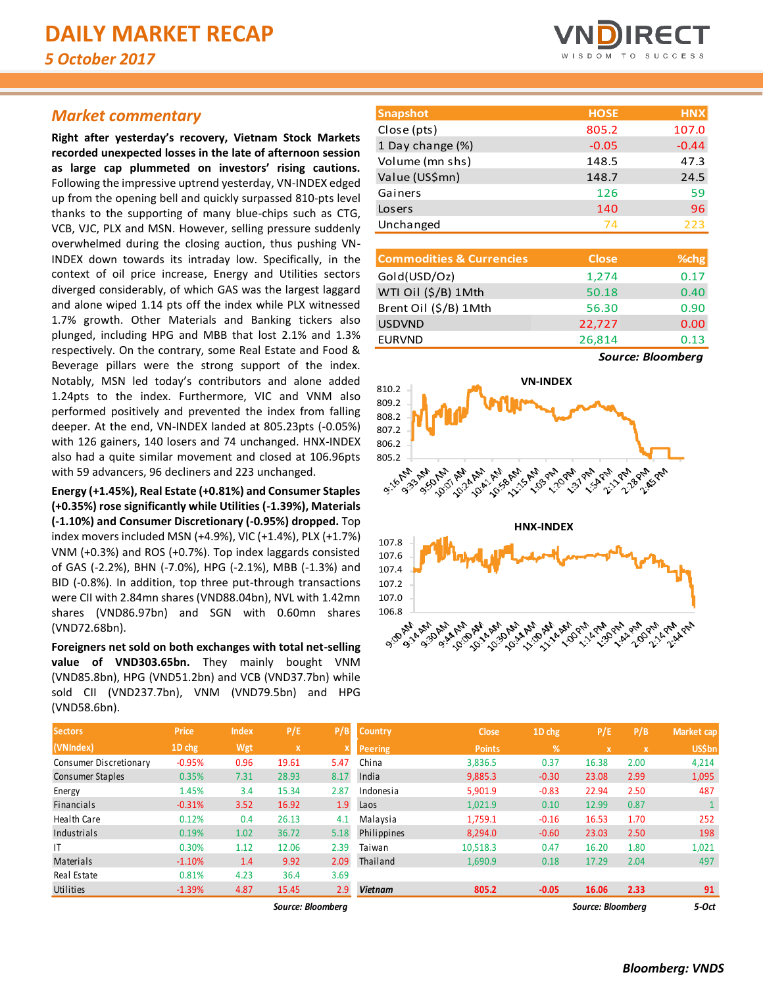## *Market commentary*

**Right after yesterday's recovery, Vietnam Stock Markets recorded unexpected losses in the late of afternoon session as large cap plummeted on investors' rising cautions.**  Following the impressive uptrend yesterday, VN-INDEX edged up from the opening bell and quickly surpassed 810-pts level thanks to the supporting of many blue-chips such as CTG, VCB, VJC, PLX and MSN. However, selling pressure suddenly overwhelmed during the closing auction, thus pushing VN-INDEX down towards its intraday low. Specifically, in the context of oil price increase, Energy and Utilities sectors diverged considerably, of which GAS was the largest laggard and alone wiped 1.14 pts off the index while PLX witnessed 1.7% growth. Other Materials and Banking tickers also plunged, including HPG and MBB that lost 2.1% and 1.3% respectively. On the contrary, some Real Estate and Food & Beverage pillars were the strong support of the index. Notably, MSN led today's contributors and alone added 1.24pts to the index. Furthermore, VIC and VNM also performed positively and prevented the index from falling deeper. At the end, VN-INDEX landed at 805.23pts (-0.05%) with 126 gainers, 140 losers and 74 unchanged. HNX-INDEX also had a quite similar movement and closed at 106.96pts with 59 advancers, 96 decliners and 223 unchanged.

**Energy (+1.45%), Real Estate (+0.81%) and Consumer Staples (+0.35%) rose significantly while Utilities (-1.39%), Materials (-1.10%) and Consumer Discretionary (-0.95%) dropped.** Top index movers included MSN (+4.9%), VIC (+1.4%), PLX (+1.7%) VNM (+0.3%) and ROS (+0.7%). Top index laggards consisted of GAS (-2.2%), BHN (-7.0%), HPG (-2.1%), MBB (-1.3%) and BID (-0.8%). In addition, top three put-through transactions were CII with 2.84mn shares (VND88.04bn), NVL with 1.42mn shares (VND86.97bn) and SGN with 0.60mn shares (VND72.68bn).

**Foreigners net sold on both exchanges with total net-selling value of VND303.65bn.** They mainly bought VNM (VND85.8bn), HPG (VND51.2bn) and VCB (VND37.7bn) while sold CII (VND237.7bn), VNM (VND79.5bn) and HPG (VND58.6bn).



| <b>Snapshot</b>  | <b>HOSE</b> | <b>HNX</b> |
|------------------|-------------|------------|
| Close (pts)      | 805.2       | 107.0      |
| 1 Day change (%) | $-0.05$     | $-0.44$    |
| Volume (mn shs)  | 148.5       | 47.3       |
| Value (US\$mn)   | 148.7       | 24.5       |
| Gainers          | 126         | 59         |
| Losers           | 140         | 96         |
| Unchanged        | 74          | 223        |

| <b>Commodities &amp; Currencies</b> | <b>Close</b> | % <sub>chg</sub>        |
|-------------------------------------|--------------|-------------------------|
| Gold(USD/Oz)                        | 1,274        | 0.17                    |
| WTI Oil (\$/B) 1Mth                 | 50.18        | 0.40                    |
| Brent Oil (\$/B) 1Mth               | 56.30        | 0.90                    |
| <b>USDVND</b>                       | 22,727       | 0.00                    |
| <b>EURVND</b>                       | 26,814       | 0.13                    |
|                                     |              | $\bullet$ and $\bullet$ |

*Source: Bloomberg*



| Sectors                | <b>Price</b> | <b>Index</b> | P/E          | P/B          | <b>Country</b> | <b>Close</b>  | 1D chg        | P/E                       | P/B  | <b>Market cap</b> |
|------------------------|--------------|--------------|--------------|--------------|----------------|---------------|---------------|---------------------------|------|-------------------|
| (VNIndex)              | 1D chg       | Wgt          | $\mathbf{x}$ | $\mathbf{x}$ | <b>Peering</b> | <b>Points</b> | $\frac{9}{6}$ | $\boldsymbol{\mathsf{x}}$ | X.   | <b>US\$bn</b>     |
| Consumer Discretionary | $-0.95%$     | 0.96         | 19.61        | 5.47         | China          | 3,836.5       | 0.37          | 16.38                     | 2.00 | 4,214             |
| Consumer Staples       | 0.35%        | 7.31         | 28.93        | 8.17         | India          | 9,885.3       | $-0.30$       | 23.08                     | 2.99 | 1,095             |
| Energy                 | 1.45%        | 3.4          | 15.34        | 2.87         | Indonesia      | 5,901.9       | $-0.83$       | 22.94                     | 2.50 | 487               |
| <b>Financials</b>      | $-0.31%$     | 3.52         | 16.92        | 1.9          | Laos           | 1,021.9       | 0.10          | 12.99                     | 0.87 |                   |
| <b>Health Care</b>     | 0.12%        | 0.4          | 26.13        | 4.1          | Malaysia       | 1,759.1       | $-0.16$       | 16.53                     | 1.70 | 252               |
| Industrials            | 0.19%        | 1.02         | 36.72        | 5.18         | Philippines    | 8,294.0       | $-0.60$       | 23.03                     | 2.50 | 198               |
| IT                     | 0.30%        | 1.12         | 12.06        | 2.39         | Taiwan         | 10,518.3      | 0.47          | 16.20                     | 1.80 | 1,021             |
| Materials              | $-1.10%$     | 1.4          | 9.92         | 2.09         | Thailand       | 1,690.9       | 0.18          | 17.29                     | 2.04 | 497               |
| Real Estate            | 0.81%        | 4.23         | 36.4         | 3.69         |                |               |               |                           |      |                   |
| Utilities              | $-1.39%$     | 4.87         | 15.45        | 2.9          | <b>Vietnam</b> | 805.2         | $-0.05$       | 16.06                     | 2.33 | 91                |

 $Source: Bloombe$ 

| JELLUI 3               | r nce    | шисл | г/ L              | r / Di | <b>LOUILLY</b> | <b>Close</b>  | TD CUX        | P/E               | r/b                       | iviarket cap  |
|------------------------|----------|------|-------------------|--------|----------------|---------------|---------------|-------------------|---------------------------|---------------|
| (VNIndex)              | 1D chg   | Wgt  | $\mathbf x$       |        | <b>Peering</b> | <b>Points</b> | $\frac{9}{6}$ | X                 | $\boldsymbol{\mathsf{x}}$ | <b>US\$bn</b> |
| Consumer Discretionary | $-0.95%$ | 0.96 | 19.61             | 5.47   | China          | 3,836.5       | 0.37          | 16.38             | 2.00                      | 4,214         |
| Consumer Staples       | 0.35%    | 7.31 | 28.93             | 8.17   | India          | 9,885.3       | $-0.30$       | 23.08             | 2.99                      | 1,095         |
| Energy                 | 1.45%    | 3.4  | 15.34             | 2.87   | Indonesia      | 5,901.9       | $-0.83$       | 22.94             | 2.50                      | 487           |
| Financials             | $-0.31%$ | 3.52 | 16.92             | 1.9    | Laos           | 1,021.9       | 0.10          | 12.99             | 0.87                      |               |
| Health Care            | 0.12%    | 0.4  | 26.13             | 4.1    | Malaysia       | 1,759.1       | $-0.16$       | 16.53             | 1.70                      | 252           |
| Industrials            | 0.19%    | 1.02 | 36.72             | 5.18   | Philippines    | 8,294.0       | $-0.60$       | 23.03             | 2.50                      | 198           |
|                        | 0.30%    | 1.12 | 12.06             | 2.39   | Taiwan         | 10,518.3      | 0.47          | 16.20             | 1.80                      | 1,021         |
| Materials              | $-1.10%$ | 1.4  | 9.92              | 2.09   | Thailand       | 1,690.9       | 0.18          | 17.29             | 2.04                      | 497           |
| Real Estate            | 0.81%    | 4.23 | 36.4              | 3.69   |                |               |               |                   |                           |               |
| Utilities              | $-1.39%$ | 4.87 | 15.45             | 2.9    | <b>Vietnam</b> | 805.2         | $-0.05$       | 16.06             | 2.33                      | 91            |
|                        |          |      | Source: Bloomberg |        |                |               |               | Source: Bloombera |                           | 5-Oct         |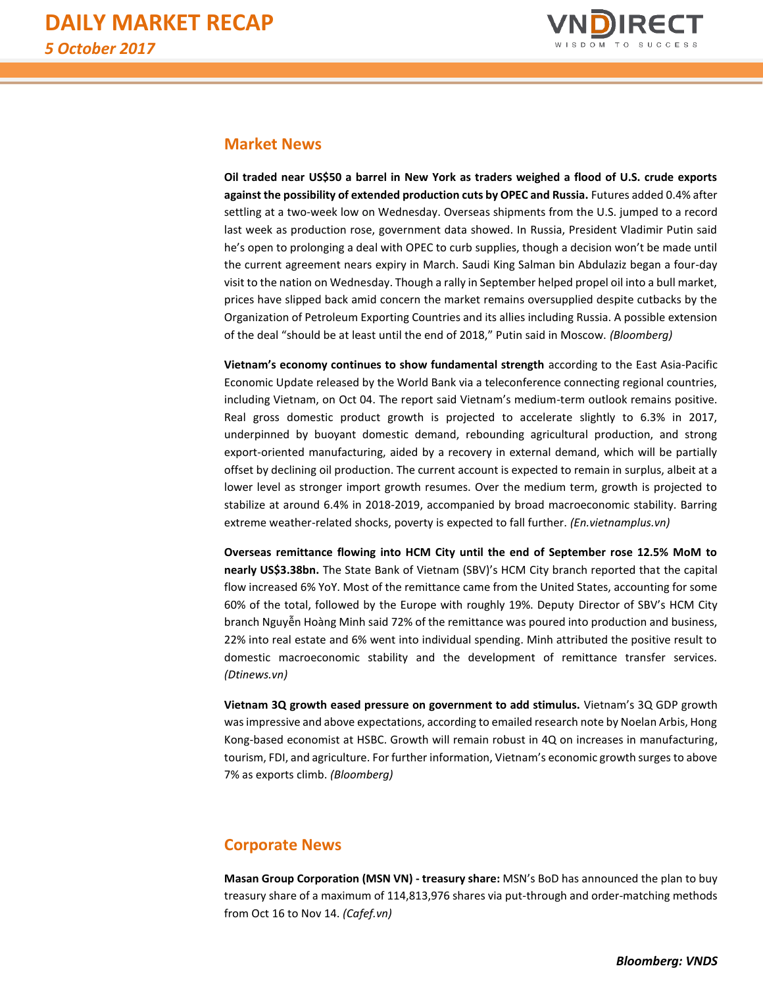

## **Market News**

**Oil traded near US\$50 a barrel in New York as traders weighed a flood of U.S. crude exports against the possibility of extended production cuts by OPEC and Russia.** Futures added 0.4% after settling at a two-week low on Wednesday. Overseas shipments from the U.S. jumped to a record last week as production rose, government data showed. In Russia, President Vladimir Putin said he's open to prolonging a deal with OPEC to curb supplies, though a decision won't be made until the current agreement nears expiry in March. Saudi King Salman bin Abdulaziz began a four-day visit to the nation on Wednesday. Though a rally in September helped propel oil into a bull market, prices have slipped back amid concern the market remains oversupplied despite cutbacks by the Organization of Petroleum Exporting Countries and its allies including Russia. A possible extension of the deal "should be at least until the end of 2018," Putin said in Moscow. *(Bloomberg)*

**Vietnam's economy continues to show fundamental strength** according to the East Asia-Pacific Economic Update released by the World Bank via a teleconference connecting regional countries, including Vietnam, on Oct 04. The report said Vietnam's medium-term outlook remains positive. Real gross domestic product growth is projected to accelerate slightly to 6.3% in 2017, underpinned by buoyant domestic demand, rebounding agricultural production, and strong export-oriented manufacturing, aided by a recovery in external demand, which will be partially offset by declining oil production. The current account is expected to remain in surplus, albeit at a lower level as stronger import growth resumes. Over the medium term, growth is projected to stabilize at around 6.4% in 2018-2019, accompanied by broad macroeconomic stability. Barring extreme weather-related shocks, poverty is expected to fall further. *(En.vietnamplus.vn)*

**Overseas remittance flowing into HCM City until the end of September rose 12.5% MoM to nearly US\$3.38bn.** The State Bank of Vietnam (SBV)'s HCM City branch reported that the capital flow increased 6% YoY. Most of the remittance came from the United States, accounting for some 60% of the total, followed by the Europe with roughly 19%. Deputy Director of SBV's HCM City branch Nguyễn Hoàng Minh said 72% of the remittance was poured into production and business, 22% into real estate and 6% went into individual spending. Minh attributed the positive result to domestic macroeconomic stability and the development of remittance transfer services. *(Dtinews.vn)*

**Vietnam 3Q growth eased pressure on government to add stimulus.** Vietnam's 3Q GDP growth was impressive and above expectations, according to emailed research note by Noelan Arbis, Hong Kong-based economist at HSBC. Growth will remain robust in 4Q on increases in manufacturing, tourism, FDI, and agriculture. For further information, Vietnam's economic growth surges to above 7% as exports climb. *(Bloomberg)*

# **Corporate News**

**Masan Group Corporation (MSN VN) - treasury share:** MSN's BoD has announced the plan to buy treasury share of a maximum of 114,813,976 shares via put-through and order-matching methods from Oct 16 to Nov 14. *(Cafef.vn)*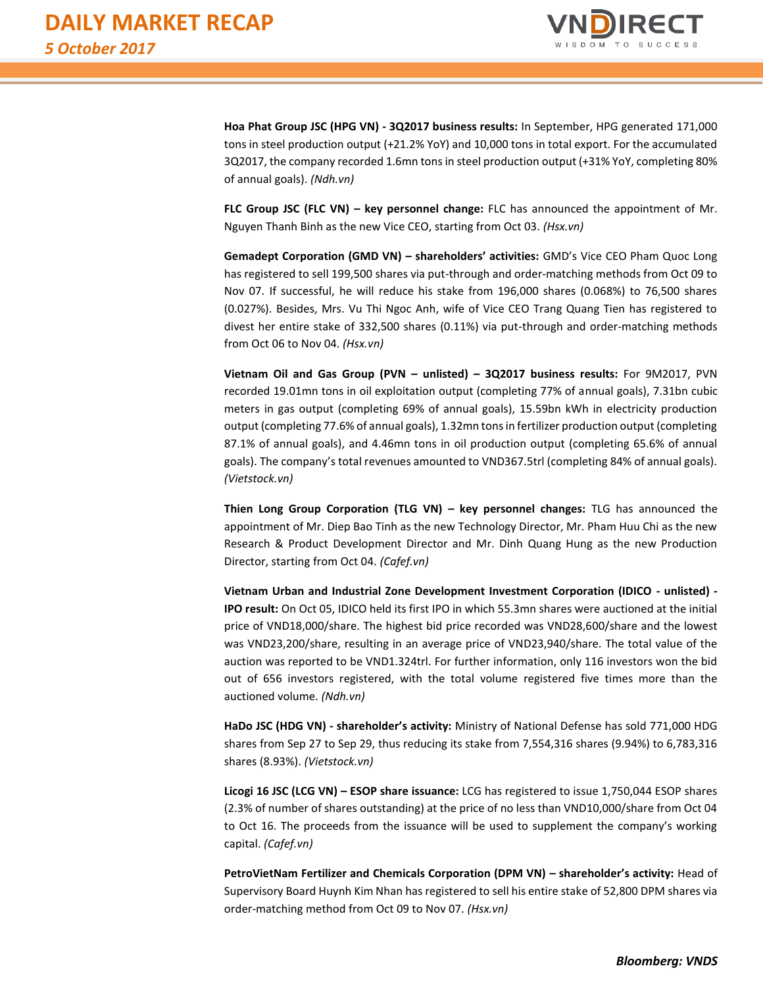

**Hoa Phat Group JSC (HPG VN) - 3Q2017 business results:** In September, HPG generated 171,000 tons in steel production output (+21.2% YoY) and 10,000 tons in total export. For the accumulated 3Q2017, the company recorded 1.6mn tons in steel production output (+31% YoY, completing 80% of annual goals). *(Ndh.vn)*

**FLC Group JSC (FLC VN) – key personnel change:** FLC has announced the appointment of Mr. Nguyen Thanh Binh as the new Vice CEO, starting from Oct 03. *(Hsx.vn)*

**Gemadept Corporation (GMD VN) – shareholders' activities:** GMD's Vice CEO Pham Quoc Long has registered to sell 199,500 shares via put-through and order-matching methods from Oct 09 to Nov 07. If successful, he will reduce his stake from 196,000 shares (0.068%) to 76,500 shares (0.027%). Besides, Mrs. Vu Thi Ngoc Anh, wife of Vice CEO Trang Quang Tien has registered to divest her entire stake of 332,500 shares (0.11%) via put-through and order-matching methods from Oct 06 to Nov 04. *(Hsx.vn)*

**Vietnam Oil and Gas Group (PVN – unlisted) – 3Q2017 business results:** For 9M2017, PVN recorded 19.01mn tons in oil exploitation output (completing 77% of annual goals), 7.31bn cubic meters in gas output (completing 69% of annual goals), 15.59bn kWh in electricity production output (completing 77.6% of annual goals), 1.32mn tons in fertilizer production output (completing 87.1% of annual goals), and 4.46mn tons in oil production output (completing 65.6% of annual goals). The company's total revenues amounted to VND367.5trl (completing 84% of annual goals). *(Vietstock.vn)*

**Thien Long Group Corporation (TLG VN) – key personnel changes:** TLG has announced the appointment of Mr. Diep Bao Tinh as the new Technology Director, Mr. Pham Huu Chi as the new Research & Product Development Director and Mr. Dinh Quang Hung as the new Production Director, starting from Oct 04. *(Cafef.vn)*

**Vietnam Urban and Industrial Zone Development Investment Corporation (IDICO - unlisted) - IPO result:** On Oct 05, IDICO held its first IPO in which 55.3mn shares were auctioned at the initial price of VND18,000/share. The highest bid price recorded was VND28,600/share and the lowest was VND23,200/share, resulting in an average price of VND23,940/share. The total value of the auction was reported to be VND1.324trl. For further information, only 116 investors won the bid out of 656 investors registered, with the total volume registered five times more than the auctioned volume. *(Ndh.vn)*

**HaDo JSC (HDG VN) - shareholder's activity:** Ministry of National Defense has sold 771,000 HDG shares from Sep 27 to Sep 29, thus reducing its stake from 7,554,316 shares (9.94%) to 6,783,316 shares (8.93%). *(Vietstock.vn)*

**Licogi 16 JSC (LCG VN) – ESOP share issuance:** LCG has registered to issue 1,750,044 ESOP shares (2.3% of number of shares outstanding) at the price of no less than VND10,000/share from Oct 04 to Oct 16. The proceeds from the issuance will be used to supplement the company's working capital. *(Cafef.vn)*

**PetroVietNam Fertilizer and Chemicals Corporation (DPM VN) – shareholder's activity:** Head of Supervisory Board Huynh Kim Nhan has registered to sell his entire stake of 52,800 DPM shares via order-matching method from Oct 09 to Nov 07. *(Hsx.vn)*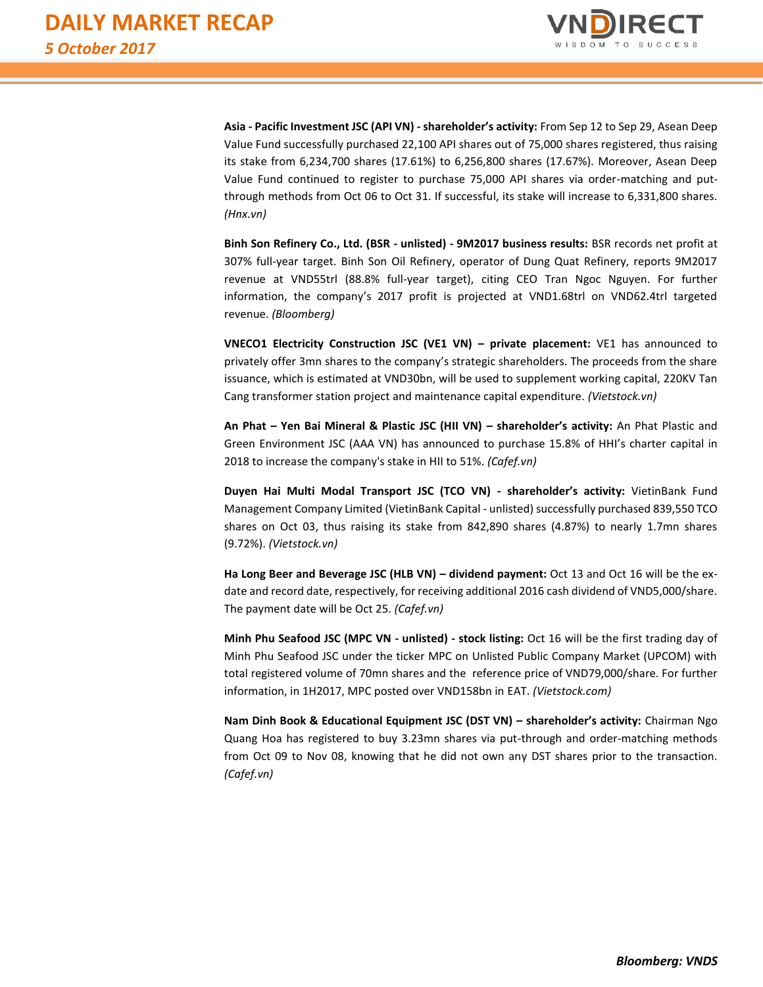

**Asia - Pacific Investment JSC (API VN) - shareholder's activity:** From Sep 12 to Sep 29, Asean Deep Value Fund successfully purchased 22,100 API shares out of 75,000 shares registered, thus raising its stake from 6,234,700 shares (17.61%) to 6,256,800 shares (17.67%). Moreover, Asean Deep Value Fund continued to register to purchase 75,000 API shares via order-matching and putthrough methods from Oct 06 to Oct 31. If successful, its stake will increase to 6,331,800 shares. *(Hnx.vn)*

**Binh Son Refinery Co., Ltd. (BSR - unlisted) - 9M2017 business results:** BSR records net profit at 307% full-year target. Binh Son Oil Refinery, operator of Dung Quat Refinery, reports 9M2017 revenue at VND55trl (88.8% full-year target), citing CEO Tran Ngoc Nguyen. For further information, the company's 2017 profit is projected at VND1.68trl on VND62.4trl targeted revenue. *(Bloomberg)*

**VNECO1 Electricity Construction JSC (VE1 VN) – private placement:** VE1 has announced to privately offer 3mn shares to the company's strategic shareholders. The proceeds from the share issuance, which is estimated at VND30bn, will be used to supplement working capital, 220KV Tan Cang transformer station project and maintenance capital expenditure. *(Vietstock.vn)*

**An Phat – Yen Bai Mineral & Plastic JSC (HII VN) – shareholder's activity:** An Phat Plastic and Green Environment JSC (AAA VN) has announced to purchase 15.8% of HHI's charter capital in 2018 to increase the company's stake in HII to 51%. *(Cafef.vn)*

**Duyen Hai Multi Modal Transport JSC (TCO VN) - shareholder's activity:** VietinBank Fund Management Company Limited (VietinBank Capital - unlisted) successfully purchased 839,550 TCO shares on Oct 03, thus raising its stake from 842,890 shares (4.87%) to nearly 1.7mn shares (9.72%). *(Vietstock.vn)*

**Ha Long Beer and Beverage JSC (HLB VN) – dividend payment:** Oct 13 and Oct 16 will be the exdate and record date, respectively, for receiving additional 2016 cash dividend of VND5,000/share. The payment date will be Oct 25. *(Cafef.vn)*

**Minh Phu Seafood JSC (MPC VN - unlisted) - stock listing:** Oct 16 will be the first trading day of Minh Phu Seafood JSC under the ticker MPC on Unlisted Public Company Market (UPCOM) with total registered volume of 70mn shares and the reference price of VND79,000/share. For further information, in 1H2017, MPC posted over VND158bn in EAT. *(Vietstock.com)* 

**Nam Dinh Book & Educational Equipment JSC (DST VN) – shareholder's activity:** Chairman Ngo Quang Hoa has registered to buy 3.23mn shares via put-through and order-matching methods from Oct 09 to Nov 08, knowing that he did not own any DST shares prior to the transaction. *(Cafef.vn)*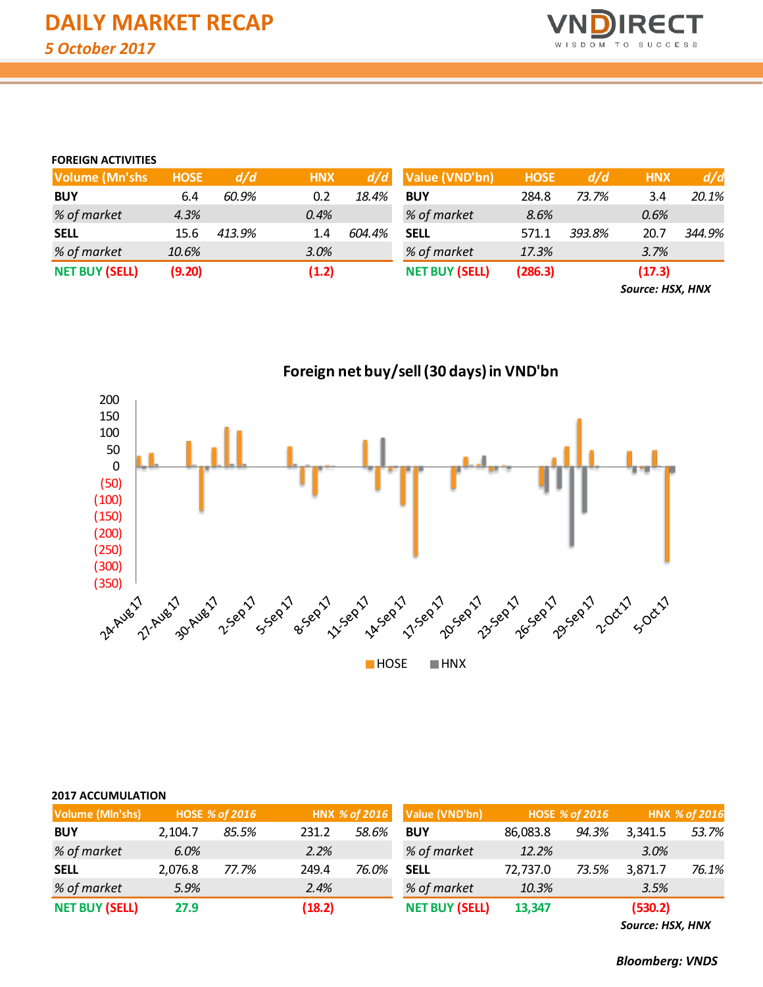

## **FOREIGN ACTIVITIES**

| <b>Volume (Mn'shs)</b> | <b>HOSE</b> | d/d    | <b>HNX</b> | d/d    | Value (VND'bn)        | <b>HOSE</b> | d/d    | <b>HNX</b> | d/d    |
|------------------------|-------------|--------|------------|--------|-----------------------|-------------|--------|------------|--------|
| <b>BUY</b>             | 6.4         | 60.9%  | 0.2        | 18.4%  | <b>BUY</b>            | 284.8       | 73.7%  | 3.4        | 20.1%  |
| % of market            | 4.3%        |        | $0.4\%$    |        | % of market           | 8.6%        |        | 0.6%       |        |
| <b>SELL</b>            | 15.6        | 413.9% | 1.4        | 604.4% | <b>SELL</b>           | 571.1       | 393.8% | 20.7       | 344.9% |
| % of market            | 10.6%       |        | 3.0%       |        | % of market           | 17.3%       |        | 3.7%       |        |
| <b>NET BUY (SELL)</b>  | (9.20)      |        | (1.2)      |        | <b>NET BUY (SELL)</b> | (286.3)     |        | (17.3)     |        |

*Source: HSX, HNX*

(350) 1<br>24 Nuesi - 27 Nuesi - 2581 egosi - 2681 egosi - 2681 egosi - 2681 egosi - 2681 egosi - 2081 egosi - 2081<br>24 Nuesi - 27 Nuesi - 2582 egosi - 2588 egosi - 2588 - 2588 - 2588 - 2688 - 2688 - 2088 - 2088 (300) (250) (200) (150) (100) (50) 0 50 100 150 200

| HOSE | <b>HNX</b> |
|------|------------|
|------|------------|

**Foreign net buy/sell (30 days) in VND'bn**

| <b>Volume (MIn'shs)</b> |         | <b>HOSE % of 2016</b> |        | HNX % of 2016 | Value (VND'bn)        | HOSE % of 2016 |       |         | HNX % of 2016 |
|-------------------------|---------|-----------------------|--------|---------------|-----------------------|----------------|-------|---------|---------------|
| <b>BUY</b>              | 2.104.7 | 85.5%                 | 231.2  | 58.6%         | <b>BUY</b>            | 86,083.8       | 94.3% | 3,341.5 | 53.7%         |
| % of market             | 6.0%    |                       | 2.2%   |               | % of market           | 12.2%          |       | 3.0%    |               |
| <b>SELL</b>             | 2.076.8 | 77.7%                 | 249.4  | 76.0%         | <b>SELL</b>           | 72.737.0       | 73.5% | 3,871.7 | 76.1%         |
| % of market             | 5.9%    |                       | 2.4%   |               | % of market           | 10.3%          |       | 3.5%    |               |
| <b>NET BUY (SELL)</b>   | 27.9    |                       | (18.2) |               | <b>NET BUY (SELL)</b> | 13,347         |       | (530.2) |               |

*Source: HSX, HNX*

*Bloomberg: VNDS*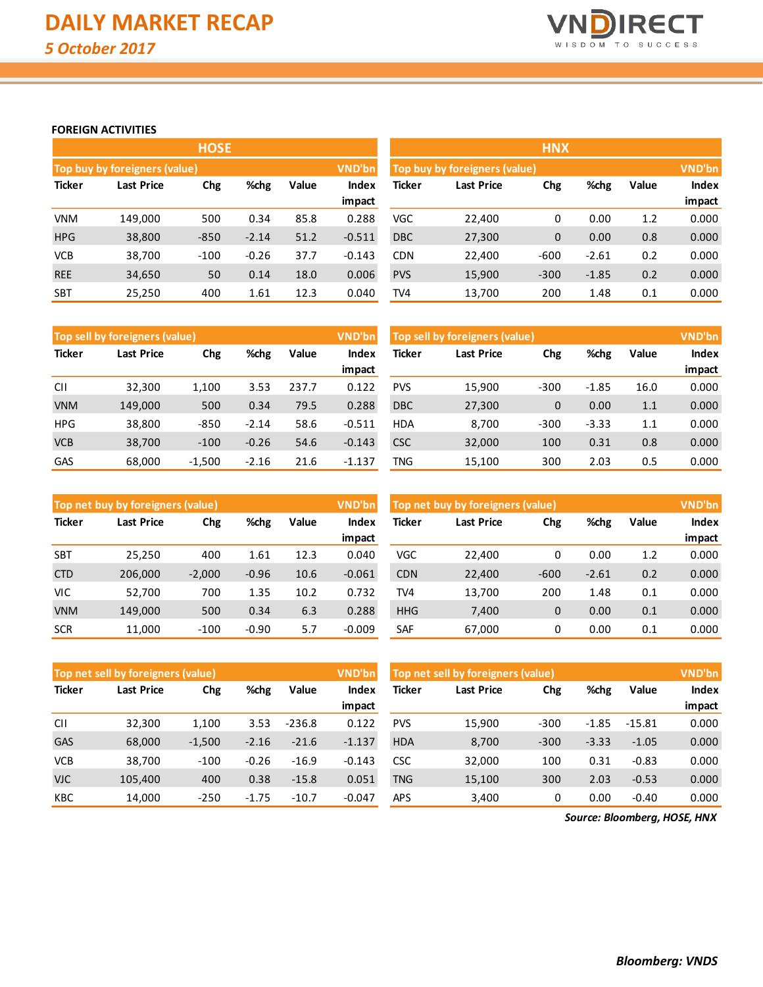

## **FOREIGN ACTIVITIES**

|               |                               | <b>HOSE</b> |         |       |          |               |                                         | <b>HNX</b>   |         |       |              |  |
|---------------|-------------------------------|-------------|---------|-------|----------|---------------|-----------------------------------------|--------------|---------|-------|--------------|--|
|               | Top buy by foreigners (value) |             |         |       | VND'bn   |               | VND'bn<br>Top buy by foreigners (value) |              |         |       |              |  |
| <b>Ticker</b> | <b>Last Price</b>             | Chg         | %chg    | Value | Index    | <b>Ticker</b> | <b>Last Price</b>                       | Chg          | %chg    | Value | <b>Index</b> |  |
|               |                               |             |         |       | impact   |               |                                         |              |         |       | impact       |  |
| <b>VNM</b>    | 149.000                       | 500         | 0.34    | 85.8  | 0.288    | <b>VGC</b>    | 22,400                                  | 0            | 0.00    | 1.2   | 0.000        |  |
| <b>HPG</b>    | 38,800                        | $-850$      | $-2.14$ | 51.2  | $-0.511$ | <b>DBC</b>    | 27,300                                  | $\mathbf{0}$ | 0.00    | 0.8   | 0.000        |  |
| <b>VCB</b>    | 38,700                        | $-100$      | $-0.26$ | 37.7  | $-0.143$ | <b>CDN</b>    | 22,400                                  | $-600$       | $-2.61$ | 0.2   | 0.000        |  |
| <b>REE</b>    | 34,650                        | 50          | 0.14    | 18.0  | 0.006    | <b>PVS</b>    | 15,900                                  | $-300$       | $-1.85$ | 0.2   | 0.000        |  |
| <b>SBT</b>    | 25,250                        | 400         | 1.61    | 12.3  | 0.040    | TV4           | 13,700                                  | 200          | 1.48    | 0.1   | 0.000        |  |

|               | Top sell by foreigners (value) |          |         |       | VND'bn   |            | Top sell by foreigners (value) |              |         |       | VND'bn       |
|---------------|--------------------------------|----------|---------|-------|----------|------------|--------------------------------|--------------|---------|-------|--------------|
| <b>Ticker</b> | Last Price                     | Chg      | %chg    | Value | Index    | Ticker     | Last Price                     | Chg          | %chg    | Value | <b>Index</b> |
|               |                                |          |         |       | impact   |            |                                |              |         |       | impact       |
| <b>CII</b>    | 32,300                         | 1.100    | 3.53    | 237.7 | 0.122    | <b>PVS</b> | 15,900                         | $-300$       | $-1.85$ | 16.0  | 0.000        |
| <b>VNM</b>    | 149,000                        | 500      | 0.34    | 79.5  | 0.288    | <b>DBC</b> | 27,300                         | $\mathbf{0}$ | 0.00    | 1.1   | 0.000        |
| <b>HPG</b>    | 38,800                         | $-850$   | $-2.14$ | 58.6  | $-0.511$ | <b>HDA</b> | 8.700                          | $-300$       | $-3.33$ | 1.1   | 0.000        |
| <b>VCB</b>    | 38,700                         | $-100$   | $-0.26$ | 54.6  | $-0.143$ | <b>CSC</b> | 32,000                         | 100          | 0.31    | 0.8   | 0.000        |
| GAS           | 68,000                         | $-1,500$ | $-2.16$ | 21.6  | $-1.137$ | TNG        | 15,100                         | 300          | 2.03    | 0.5   | 0.000        |

|               | Top net buy by foreigners (value) |          |         |       | VND'bn   |            | Top net buy by foreigners (value) |              |         |       | VND'bn |
|---------------|-----------------------------------|----------|---------|-------|----------|------------|-----------------------------------|--------------|---------|-------|--------|
| <b>Ticker</b> | Last Price                        | Chg      | %chg    | Value | Index    | Ticker     | Last Price                        | Chg          | %chg    | Value | Index  |
|               |                                   |          |         |       | impact   |            |                                   |              |         |       | impact |
| <b>SBT</b>    | 25.250                            | 400      | 1.61    | 12.3  | 0.040    | VGC        | 22,400                            | 0            | 0.00    | 1.2   | 0.000  |
| <b>CTD</b>    | 206,000                           | $-2,000$ | $-0.96$ | 10.6  | $-0.061$ | <b>CDN</b> | 22,400                            | $-600$       | $-2.61$ | 0.2   | 0.000  |
| <b>VIC</b>    | 52,700                            | 700      | 1.35    | 10.2  | 0.732    | TV4        | 13,700                            | 200          | 1.48    | 0.1   | 0.000  |
| <b>VNM</b>    | 149,000                           | 500      | 0.34    | 6.3   | 0.288    | <b>HHG</b> | 7,400                             | $\mathbf{0}$ | 0.00    | 0.1   | 0.000  |
| <b>SCR</b>    | 11,000                            | $-100$   | $-0.90$ | 5.7   | $-0.009$ | <b>SAF</b> | 67,000                            | 0            | 0.00    | 0.1   | 0.000  |

|               | Top net sell by foreigners (value) |          |         |          | VND'bn   |               | Top net sell by foreigners (value) |        |         |          |        |
|---------------|------------------------------------|----------|---------|----------|----------|---------------|------------------------------------|--------|---------|----------|--------|
| <b>Ticker</b> | Last Price                         | Chg      | %chg    | Value    | Index    | <b>Ticker</b> | <b>Last Price</b>                  | Chg    | %chg    | Value    | Index  |
|               |                                    |          |         |          | impact   |               |                                    |        |         |          | impact |
| <b>CII</b>    | 32,300                             | 1,100    | 3.53    | $-236.8$ | 0.122    | <b>PVS</b>    | 15,900                             | $-300$ | $-1.85$ | $-15.81$ | 0.000  |
| <b>GAS</b>    | 68,000                             | $-1,500$ | $-2.16$ | $-21.6$  | $-1.137$ | <b>HDA</b>    | 8,700                              | $-300$ | $-3.33$ | $-1.05$  | 0.000  |
| <b>VCB</b>    | 38,700                             | $-100$   | $-0.26$ | $-16.9$  | $-0.143$ | <b>CSC</b>    | 32,000                             | 100    | 0.31    | $-0.83$  | 0.000  |
| <b>VJC</b>    | 105,400                            | 400      | 0.38    | $-15.8$  | 0.051    | <b>TNG</b>    | 15,100                             | 300    | 2.03    | $-0.53$  | 0.000  |
| KBC           | 14,000                             | $-250$   | $-1.75$ | $-10.7$  | $-0.047$ | <b>APS</b>    | 3,400                              | 0      | 0.00    | $-0.40$  | 0.000  |

*Source: Bloomberg, HOSE, HNX*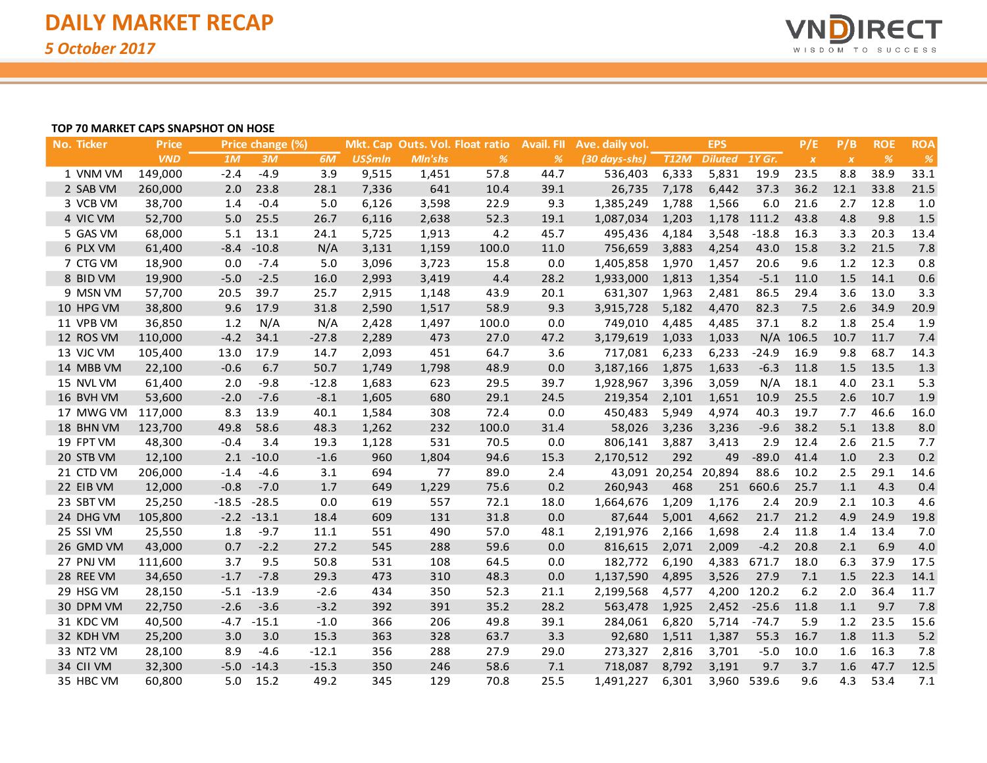

### **TOP 70 MARKET CAPS SNAPSHOT ON HOSE**

| No. Ticker | <b>Price</b> |         | Price change (%) |         |                |                | Mkt. Cap Outs. Vol. Float ratio | <b>Avail. FII</b> | Ave. daily vol. |                      | <b>EPS</b>     |             | P/E              | P/B              | <b>ROE</b>    | <b>ROA</b> |
|------------|--------------|---------|------------------|---------|----------------|----------------|---------------------------------|-------------------|-----------------|----------------------|----------------|-------------|------------------|------------------|---------------|------------|
|            | <b>VND</b>   | 1M      | 3M               | 6M      | <b>US\$mln</b> | <b>MIn'shs</b> | $\frac{9}{6}$                   | %                 | (30 days-shs)   | <b>T12M</b>          | Diluted 1Y Gr. |             | $\boldsymbol{X}$ | $\boldsymbol{X}$ | $\frac{9}{6}$ | $\%$       |
| 1 VNM VM   | 149,000      | $-2.4$  | $-4.9$           | 3.9     | 9,515          | 1,451          | 57.8                            | 44.7              | 536,403         | 6,333                | 5,831          | 19.9        | 23.5             | 8.8              | 38.9          | 33.1       |
| 2 SAB VM   | 260,000      | 2.0     | 23.8             | 28.1    | 7,336          | 641            | 10.4                            | 39.1              | 26,735          | 7,178                | 6,442          | 37.3        | 36.2             | 12.1             | 33.8          | 21.5       |
| 3 VCB VM   | 38,700       | 1.4     | $-0.4$           | 5.0     | 6,126          | 3,598          | 22.9                            | 9.3               | 1,385,249       | 1,788                | 1,566          | 6.0         | 21.6             | 2.7              | 12.8          | 1.0        |
| 4 VIC VM   | 52,700       | $5.0$   | 25.5             | 26.7    | 6,116          | 2,638          | 52.3                            | 19.1              | 1,087,034       | 1,203                |                | 1,178 111.2 | 43.8             | 4.8              | 9.8           | 1.5        |
| 5 GAS VM   | 68,000       | 5.1     | 13.1             | 24.1    | 5,725          | 1,913          | 4.2                             | 45.7              | 495,436         | 4,184                | 3,548          | $-18.8$     | 16.3             | 3.3              | 20.3          | 13.4       |
| 6 PLX VM   | 61,400       | $-8.4$  | $-10.8$          | N/A     | 3,131          | 1,159          | 100.0                           | 11.0              | 756,659         | 3,883                | 4,254          | 43.0        | 15.8             | 3.2              | 21.5          | 7.8        |
| 7 CTG VM   | 18,900       | 0.0     | $-7.4$           | 5.0     | 3,096          | 3,723          | 15.8                            | 0.0               | 1,405,858       | 1,970                | 1,457          | 20.6        | 9.6              | 1.2              | 12.3          | 0.8        |
| 8 BID VM   | 19,900       | $-5.0$  | $-2.5$           | 16.0    | 2,993          | 3,419          | 4.4                             | 28.2              | 1,933,000       | 1,813                | 1,354          | $-5.1$      | 11.0             | 1.5              | 14.1          | 0.6        |
| 9 MSN VM   | 57,700       | 20.5    | 39.7             | 25.7    | 2,915          | 1,148          | 43.9                            | 20.1              | 631,307         | 1,963                | 2,481          | 86.5        | 29.4             | 3.6              | 13.0          | 3.3        |
| 10 HPG VM  | 38,800       | 9.6     | 17.9             | 31.8    | 2,590          | 1,517          | 58.9                            | 9.3               | 3,915,728       | 5,182                | 4,470          | 82.3        | 7.5              | 2.6              | 34.9          | 20.9       |
| 11 VPB VM  | 36,850       | 1.2     | N/A              | N/A     | 2,428          | 1,497          | 100.0                           | 0.0               | 749,010         | 4,485                | 4,485          | 37.1        | 8.2              | 1.8              | 25.4          | 1.9        |
| 12 ROS VM  | 110,000      | $-4.2$  | 34.1             | $-27.8$ | 2,289          | 473            | 27.0                            | 47.2              | 3,179,619       | 1,033                | 1,033          |             | N/A 106.5        | 10.7             | 11.7          | 7.4        |
| 13 VJC VM  | 105,400      | 13.0    | 17.9             | 14.7    | 2,093          | 451            | 64.7                            | 3.6               | 717,081         | 6,233                | 6,233          | $-24.9$     | 16.9             | 9.8              | 68.7          | 14.3       |
| 14 MBB VM  | 22,100       | $-0.6$  | 6.7              | 50.7    | 1,749          | 1,798          | 48.9                            | 0.0               | 3,187,166       | 1,875                | 1,633          | $-6.3$      | 11.8             | 1.5              | 13.5          | 1.3        |
| 15 NVL VM  | 61,400       | 2.0     | $-9.8$           | $-12.8$ | 1,683          | 623            | 29.5                            | 39.7              | 1,928,967       | 3,396                | 3,059          | N/A         | 18.1             | 4.0              | 23.1          | 5.3        |
| 16 BVH VM  | 53,600       | $-2.0$  | $-7.6$           | $-8.1$  | 1,605          | 680            | 29.1                            | 24.5              | 219,354         | 2,101                | 1,651          | 10.9        | 25.5             | 2.6              | 10.7          | 1.9        |
| 17 MWG VM  | 117,000      | 8.3     | 13.9             | 40.1    | 1,584          | 308            | 72.4                            | 0.0               | 450,483         | 5,949                | 4,974          | 40.3        | 19.7             | 7.7              | 46.6          | 16.0       |
| 18 BHN VM  | 123,700      | 49.8    | 58.6             | 48.3    | 1,262          | 232            | 100.0                           | 31.4              | 58,026          | 3,236                | 3,236          | $-9.6$      | 38.2             | 5.1              | 13.8          | 8.0        |
| 19 FPT VM  | 48,300       | $-0.4$  | 3.4              | 19.3    | 1,128          | 531            | 70.5                            | 0.0               | 806,141         | 3,887                | 3,413          | 2.9         | 12.4             | 2.6              | 21.5          | 7.7        |
| 20 STB VM  | 12,100       | 2.1     | $-10.0$          | $-1.6$  | 960            | 1,804          | 94.6                            | 15.3              | 2,170,512       | 292                  | 49             | $-89.0$     | 41.4             | 1.0              | 2.3           | 0.2        |
| 21 CTD VM  | 206,000      | $-1.4$  | $-4.6$           | 3.1     | 694            | 77             | 89.0                            | 2.4               |                 | 43,091 20,254 20,894 |                | 88.6        | 10.2             | 2.5              | 29.1          | 14.6       |
| 22 EIB VM  | 12,000       | $-0.8$  | $-7.0$           | 1.7     | 649            | 1,229          | 75.6                            | 0.2               | 260,943         | 468                  | 251            | 660.6       | 25.7             | 1.1              | 4.3           | 0.4        |
| 23 SBT VM  | 25,250       | $-18.5$ | $-28.5$          | 0.0     | 619            | 557            | 72.1                            | 18.0              | 1,664,676       | 1,209                | 1,176          | 2.4         | 20.9             | 2.1              | 10.3          | 4.6        |
| 24 DHG VM  | 105,800      | $-2.2$  | $-13.1$          | 18.4    | 609            | 131            | 31.8                            | 0.0               | 87,644          | 5,001                | 4,662          | 21.7        | 21.2             | 4.9              | 24.9          | 19.8       |
| 25 SSI VM  | 25,550       | 1.8     | $-9.7$           | 11.1    | 551            | 490            | 57.0                            | 48.1              | 2,191,976       | 2,166                | 1,698          | 2.4         | 11.8             | 1.4              | 13.4          | 7.0        |
| 26 GMD VM  | 43,000       | 0.7     | $-2.2$           | 27.2    | 545            | 288            | 59.6                            | 0.0               | 816,615         | 2,071                | 2,009          | $-4.2$      | 20.8             | 2.1              | 6.9           | 4.0        |
| 27 PNJ VM  | 111,600      | 3.7     | 9.5              | 50.8    | 531            | 108            | 64.5                            | 0.0               | 182,772         | 6,190                | 4,383          | 671.7       | 18.0             | 6.3              | 37.9          | 17.5       |
| 28 REE VM  | 34,650       | $-1.7$  | $-7.8$           | 29.3    | 473            | 310            | 48.3                            | 0.0               | 1,137,590       | 4,895                | 3,526          | 27.9        | 7.1              | 1.5              | 22.3          | 14.1       |
| 29 HSG VM  | 28,150       | $-5.1$  | $-13.9$          | $-2.6$  | 434            | 350            | 52.3                            | 21.1              | 2,199,568       | 4,577                | 4,200          | 120.2       | 6.2              | 2.0              | 36.4          | 11.7       |
| 30 DPM VM  | 22,750       | $-2.6$  | $-3.6$           | $-3.2$  | 392            | 391            | 35.2                            | 28.2              | 563,478         | 1,925                | 2,452          | $-25.6$     | 11.8             | 1.1              | 9.7           | 7.8        |
| 31 KDC VM  | 40,500       | $-4.7$  | $-15.1$          | $-1.0$  | 366            | 206            | 49.8                            | 39.1              | 284,061         | 6,820                | 5,714          | $-74.7$     | 5.9              | 1.2              | 23.5          | 15.6       |
| 32 KDH VM  | 25,200       | 3.0     | 3.0              | 15.3    | 363            | 328            | 63.7                            | 3.3               | 92,680          | 1,511                | 1,387          | 55.3        | 16.7             | 1.8              | 11.3          | 5.2        |
| 33 NT2 VM  | 28,100       | 8.9     | $-4.6$           | $-12.1$ | 356            | 288            | 27.9                            | 29.0              | 273,327         | 2,816                | 3,701          | $-5.0$      | 10.0             | 1.6              | 16.3          | 7.8        |
| 34 CII VM  | 32,300       | $-5.0$  | $-14.3$          | $-15.3$ | 350            | 246            | 58.6                            | 7.1               | 718,087         | 8,792                | 3,191          | 9.7         | 3.7              | 1.6              | 47.7          | 12.5       |
| 35 HBC VM  | 60,800       | 5.0     | 15.2             | 49.2    | 345            | 129            | 70.8                            | 25.5              | 1,491,227       | 6,301                | 3,960          | 539.6       | 9.6              | 4.3              | 53.4          | 7.1        |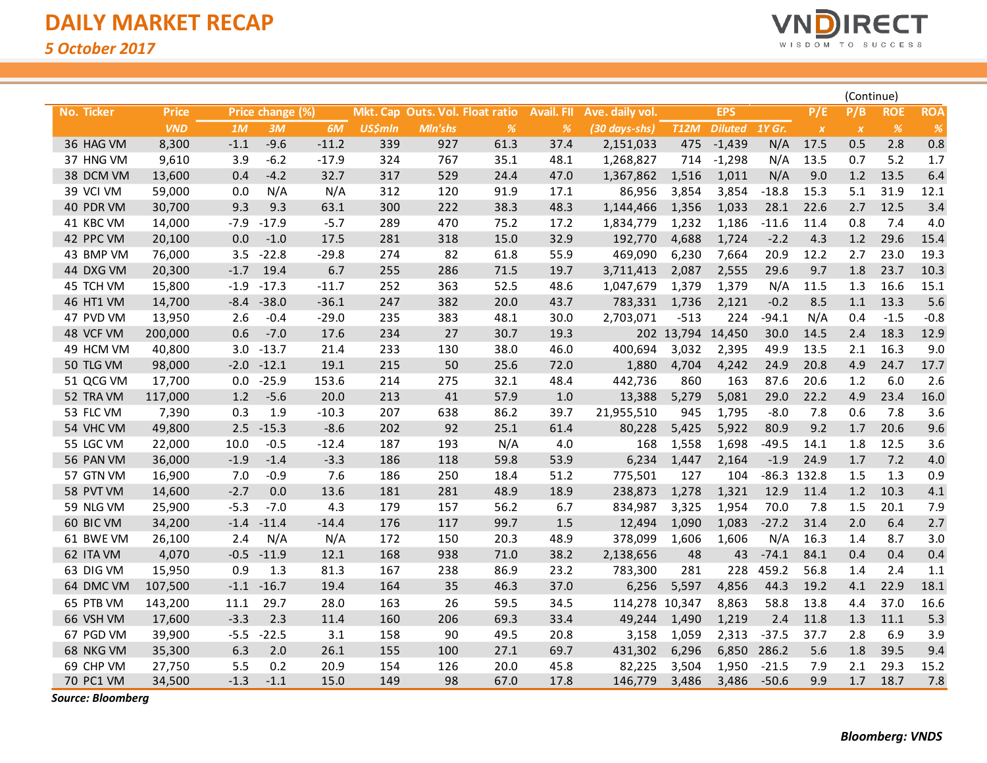

|            |              |        |                  |         |                |         |                                 |                   |                 |                   |                |         |              | (Continue)       |            |            |
|------------|--------------|--------|------------------|---------|----------------|---------|---------------------------------|-------------------|-----------------|-------------------|----------------|---------|--------------|------------------|------------|------------|
| No. Ticker | <b>Price</b> |        | Price change (%) |         |                |         | Mkt. Cap Outs. Vol. Float ratio | <b>Avail. FII</b> | Ave. daily vol. |                   | <b>EPS</b>     |         | P/E          | P/B              | <b>ROE</b> | <b>ROA</b> |
|            | <b>VND</b>   | 1M     | 3M               | 6M      | <b>US\$mln</b> | Mln'shs | $\%$                            | %                 | (30 days-shs)   | <b>T12M</b>       | <b>Diluted</b> | 1Y Gr.  | $\pmb{\chi}$ | $\boldsymbol{X}$ | $\%$       | $\%$       |
| 36 HAG VM  | 8,300        | $-1.1$ | $-9.6$           | $-11.2$ | 339            | 927     | 61.3                            | 37.4              | 2,151,033       | 475               | $-1,439$       | N/A     | 17.5         | 0.5              | 2.8        | 0.8        |
| 37 HNG VM  | 9,610        | 3.9    | $-6.2$           | $-17.9$ | 324            | 767     | 35.1                            | 48.1              | 1,268,827       | 714               | $-1,298$       | N/A     | 13.5         | 0.7              | 5.2        | 1.7        |
| 38 DCM VM  | 13,600       | 0.4    | $-4.2$           | 32.7    | 317            | 529     | 24.4                            | 47.0              | 1,367,862       | 1,516             | 1,011          | N/A     | 9.0          | 1.2              | 13.5       | 6.4        |
| 39 VCI VM  | 59,000       | 0.0    | N/A              | N/A     | 312            | 120     | 91.9                            | 17.1              | 86,956          | 3,854             | 3,854          | $-18.8$ | 15.3         | 5.1              | 31.9       | 12.1       |
| 40 PDR VM  | 30,700       | 9.3    | 9.3              | 63.1    | 300            | 222     | 38.3                            | 48.3              | 1,144,466       | 1,356             | 1,033          | 28.1    | 22.6         | 2.7              | 12.5       | 3.4        |
| 41 KBC VM  | 14,000       | $-7.9$ | $-17.9$          | $-5.7$  | 289            | 470     | 75.2                            | 17.2              | 1,834,779       | 1,232             | 1,186          | $-11.6$ | 11.4         | 0.8              | 7.4        | 4.0        |
| 42 PPC VM  | 20,100       | 0.0    | $-1.0$           | 17.5    | 281            | 318     | 15.0                            | 32.9              | 192,770         | 4,688             | 1,724          | $-2.2$  | 4.3          | 1.2              | 29.6       | 15.4       |
| 43 BMP VM  | 76,000       | 3.5    | $-22.8$          | $-29.8$ | 274            | 82      | 61.8                            | 55.9              | 469,090         | 6,230             | 7,664          | 20.9    | 12.2         | 2.7              | 23.0       | 19.3       |
| 44 DXG VM  | 20,300       | $-1.7$ | 19.4             | 6.7     | 255            | 286     | 71.5                            | 19.7              | 3,711,413       | 2,087             | 2,555          | 29.6    | 9.7          | 1.8              | 23.7       | 10.3       |
| 45 TCH VM  | 15,800       | $-1.9$ | $-17.3$          | $-11.7$ | 252            | 363     | 52.5                            | 48.6              | 1,047,679       | 1,379             | 1,379          | N/A     | 11.5         | 1.3              | 16.6       | 15.1       |
| 46 HT1 VM  | 14,700       | $-8.4$ | $-38.0$          | $-36.1$ | 247            | 382     | 20.0                            | 43.7              | 783,331         | 1,736             | 2,121          | $-0.2$  | 8.5          | 1.1              | 13.3       | 5.6        |
| 47 PVD VM  | 13,950       | 2.6    | $-0.4$           | $-29.0$ | 235            | 383     | 48.1                            | 30.0              | 2,703,071       | $-513$            | 224            | $-94.1$ | N/A          | 0.4              | $-1.5$     | $-0.8$     |
| 48 VCF VM  | 200,000      | 0.6    | $-7.0$           | 17.6    | 234            | 27      | 30.7                            | 19.3              |                 | 202 13,794 14,450 |                | 30.0    | 14.5         | 2.4              | 18.3       | 12.9       |
| 49 HCM VM  | 40,800       | 3.0    | $-13.7$          | 21.4    | 233            | 130     | 38.0                            | 46.0              | 400,694         | 3,032             | 2,395          | 49.9    | 13.5         | 2.1              | 16.3       | 9.0        |
| 50 TLG VM  | 98,000       | $-2.0$ | $-12.1$          | 19.1    | 215            | 50      | 25.6                            | 72.0              | 1,880           | 4,704             | 4,242          | 24.9    | 20.8         | 4.9              | 24.7       | 17.7       |
| 51 QCG VM  | 17,700       | 0.0    | $-25.9$          | 153.6   | 214            | 275     | 32.1                            | 48.4              | 442,736         | 860               | 163            | 87.6    | 20.6         | 1.2              | 6.0        | 2.6        |
| 52 TRA VM  | 117,000      | 1.2    | $-5.6$           | 20.0    | 213            | 41      | 57.9                            | 1.0               | 13,388          | 5,279             | 5,081          | 29.0    | 22.2         | 4.9              | 23.4       | 16.0       |
| 53 FLC VM  | 7,390        | 0.3    | 1.9              | $-10.3$ | 207            | 638     | 86.2                            | 39.7              | 21,955,510      | 945               | 1,795          | $-8.0$  | 7.8          | 0.6              | 7.8        | 3.6        |
| 54 VHC VM  | 49,800       | 2.5    | $-15.3$          | $-8.6$  | 202            | 92      | 25.1                            | 61.4              | 80,228          | 5,425             | 5,922          | 80.9    | 9.2          | 1.7              | 20.6       | 9.6        |
| 55 LGC VM  | 22,000       | 10.0   | $-0.5$           | $-12.4$ | 187            | 193     | N/A                             | 4.0               | 168             | 1,558             | 1,698          | $-49.5$ | 14.1         | 1.8              | 12.5       | 3.6        |
| 56 PAN VM  | 36,000       | $-1.9$ | $-1.4$           | $-3.3$  | 186            | 118     | 59.8                            | 53.9              | 6,234           | 1,447             | 2,164          | $-1.9$  | 24.9         | 1.7              | 7.2        | 4.0        |
| 57 GTN VM  | 16,900       | 7.0    | $-0.9$           | 7.6     | 186            | 250     | 18.4                            | 51.2              | 775,501         | 127               | 104            | $-86.3$ | 132.8        | 1.5              | 1.3        | 0.9        |
| 58 PVT VM  | 14,600       | $-2.7$ | 0.0              | 13.6    | 181            | 281     | 48.9                            | 18.9              | 238,873         | 1,278             | 1,321          | 12.9    | 11.4         | 1.2              | 10.3       | 4.1        |
| 59 NLG VM  | 25,900       | $-5.3$ | $-7.0$           | 4.3     | 179            | 157     | 56.2                            | 6.7               | 834,987         | 3,325             | 1,954          | 70.0    | 7.8          | 1.5              | 20.1       | 7.9        |
| 60 BIC VM  | 34,200       | $-1.4$ | $-11.4$          | $-14.4$ | 176            | 117     | 99.7                            | 1.5               | 12,494          | 1,090             | 1,083          | $-27.2$ | 31.4         | 2.0              | 6.4        | 2.7        |
| 61 BWE VM  | 26,100       | 2.4    | N/A              | N/A     | 172            | 150     | 20.3                            | 48.9              | 378,099         | 1,606             | 1,606          | N/A     | 16.3         | 1.4              | 8.7        | 3.0        |
| 62 ITA VM  | 4,070        | $-0.5$ | $-11.9$          | 12.1    | 168            | 938     | 71.0                            | 38.2              | 2,138,656       | 48                | 43             | $-74.1$ | 84.1         | 0.4              | 0.4        | 0.4        |
| 63 DIG VM  | 15,950       | 0.9    | 1.3              | 81.3    | 167            | 238     | 86.9                            | 23.2              | 783,300         | 281               | 228            | 459.2   | 56.8         | 1.4              | 2.4        | 1.1        |
| 64 DMC VM  | 107,500      | $-1.1$ | $-16.7$          | 19.4    | 164            | 35      | 46.3                            | 37.0              | 6,256           | 5,597             | 4,856          | 44.3    | 19.2         | 4.1              | 22.9       | 18.1       |
| 65 PTB VM  | 143,200      | 11.1   | 29.7             | 28.0    | 163            | 26      | 59.5                            | 34.5              | 114,278 10,347  |                   | 8,863          | 58.8    | 13.8         | 4.4              | 37.0       | 16.6       |
| 66 VSH VM  | 17,600       | $-3.3$ | 2.3              | 11.4    | 160            | 206     | 69.3                            | 33.4              | 49,244          | 1,490             | 1,219          | 2.4     | 11.8         | 1.3              | 11.1       | 5.3        |
| 67 PGD VM  | 39,900       | $-5.5$ | $-22.5$          | 3.1     | 158            | 90      | 49.5                            | 20.8              | 3,158           | 1,059             | 2,313          | $-37.5$ | 37.7         | 2.8              | 6.9        | 3.9        |
| 68 NKG VM  | 35,300       | 6.3    | 2.0              | 26.1    | 155            | 100     | 27.1                            | 69.7              | 431,302         | 6,296             | 6,850          | 286.2   | 5.6          | 1.8              | 39.5       | 9.4        |
| 69 CHP VM  | 27,750       | 5.5    | 0.2              | 20.9    | 154            | 126     | 20.0                            | 45.8              | 82,225          | 3,504             | 1,950          | $-21.5$ | 7.9          | 2.1              | 29.3       | 15.2       |
| 70 PC1 VM  | 34,500       | $-1.3$ | $-1.1$           | 15.0    | 149            | 98      | 67.0                            | 17.8              | 146,779         | 3,486             | 3,486          | $-50.6$ | 9.9          | 1.7              | 18.7       | 7.8        |

*Source: Bloomberg*